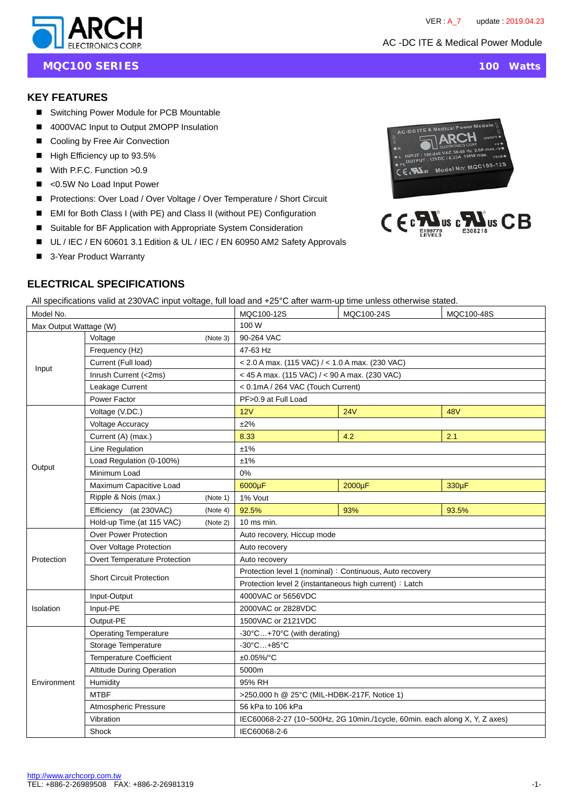C-DC ITE & M

 $\mathbb{Z}$   $\mathbb{Z}$   $\mathbb{Z}$   $\mathbb{Z}$ 

 $\bullet$ 



**MQC100 SERIES** 100 Watts

TRIM

Model No: MQC100-125

 $\mathbf{C} \in \mathbf{M}$ us c $\mathbf{M}$ us  $\mathbf{C} \mathbf{B}$ 

## **KEY FEATURES**

- Switching Power Module for PCB Mountable
- 4000VAC Input to Output 2MOPP Insulation
- Cooling by Free Air Convection
- $\blacksquare$  High Efficiency up to 93.5%
- With P.F.C. Function > 0.9
- <0.5W No Load Input Power
- Protections: Over Load / Over Voltage / Over Temperature / Short Circuit
- EMI for Both Class I (with PE) and Class II (without PE) Configuration
- Suitable for BF Application with Appropriate System Consideration
- UL / IEC / EN 60601 3.1 Edition & UL / IEC / EN 60950 AM2 Safety Approvals
- 3-Year Product Warranty

# **ELECTRICAL SPECIFICATIONS**

All specifications valid at 230VAC input voltage, full load and +25°C after warm-up time unless otherwise stated.

| Model No.              |                                 |          | MQC100-12S                                                                 | MQC100-24S | MQC100-48S |  |  |
|------------------------|---------------------------------|----------|----------------------------------------------------------------------------|------------|------------|--|--|
| Max Output Wattage (W) |                                 |          | 100 W                                                                      |            |            |  |  |
|                        | (Note 3)<br>Voltage             |          | 90-264 VAC                                                                 |            |            |  |  |
| Input                  | Frequency (Hz)                  |          | 47-63 Hz                                                                   |            |            |  |  |
|                        | Current (Full load)             |          | $<$ 2.0 A max. (115 VAC) / $<$ 1.0 A max. (230 VAC)                        |            |            |  |  |
|                        | Inrush Current (<2ms)           |          | < 45 A max. (115 VAC) / < 90 A max. (230 VAC)                              |            |            |  |  |
|                        | Leakage Current                 |          | < 0.1mA / 264 VAC (Touch Current)                                          |            |            |  |  |
|                        | Power Factor                    |          | PF>0.9 at Full Load                                                        |            |            |  |  |
|                        | Voltage (V.DC.)                 |          | 12V                                                                        | 24V        | 48V        |  |  |
|                        | Voltage Accuracy                |          | ±2%                                                                        |            |            |  |  |
|                        | Current (A) (max.)              |          | 8.33                                                                       | 4.2        | 2.1        |  |  |
|                        | Line Regulation                 |          | ±1%                                                                        |            |            |  |  |
| Output                 | Load Regulation (0-100%)        |          | ±1%                                                                        |            |            |  |  |
|                        | Minimum Load                    |          | 0%                                                                         |            |            |  |  |
|                        | Maximum Capacitive Load         |          | 6000µF                                                                     | 2000µF     | 330µF      |  |  |
|                        | Ripple & Nois (max.)            | (Note 1) | 1% Vout                                                                    |            |            |  |  |
|                        | Efficiency (at 230VAC)          | (Note 4) | 92.5%                                                                      | 93%        | 93.5%      |  |  |
|                        | Hold-up Time (at 115 VAC)       | (Note 2) | 10 ms min.                                                                 |            |            |  |  |
|                        | <b>Over Power Protection</b>    |          | Auto recovery, Hiccup mode                                                 |            |            |  |  |
|                        | Over Voltage Protection         |          | Auto recovery                                                              |            |            |  |  |
| Protection             | Overt Temperature Protection    |          | Auto recovery                                                              |            |            |  |  |
|                        | <b>Short Circuit Protection</b> |          | Protection level 1 (nominal) : Continuous, Auto recovery                   |            |            |  |  |
|                        |                                 |          | Protection level 2 (instantaneous high current) : Latch                    |            |            |  |  |
|                        | Input-Output                    |          | 4000VAC or 5656VDC                                                         |            |            |  |  |
| Isolation              | Input-PE                        |          | 2000VAC or 2828VDC                                                         |            |            |  |  |
|                        | Output-PE                       |          | 1500VAC or 2121VDC                                                         |            |            |  |  |
|                        | <b>Operating Temperature</b>    |          | -30°C+70°C (with derating)                                                 |            |            |  |  |
|                        | Storage Temperature             |          | $-30^{\circ}$ C $+85^{\circ}$ C                                            |            |            |  |  |
| Environment            | <b>Temperature Coefficient</b>  |          | ±0.05%/°C                                                                  |            |            |  |  |
|                        | Altitude During Operation       |          | 5000m                                                                      |            |            |  |  |
|                        | Humidity                        |          | 95% RH                                                                     |            |            |  |  |
|                        | <b>MTBF</b>                     |          | >250,000 h @ 25°C (MIL-HDBK-217F, Notice 1)                                |            |            |  |  |
|                        | Atmospheric Pressure            |          | 56 kPa to 106 kPa                                                          |            |            |  |  |
|                        | Vibration                       |          | IEC60068-2-27 (10~500Hz, 2G 10min./1cycle, 60min. each along X, Y, Z axes) |            |            |  |  |
|                        | Shock                           |          | IEC60068-2-6                                                               |            |            |  |  |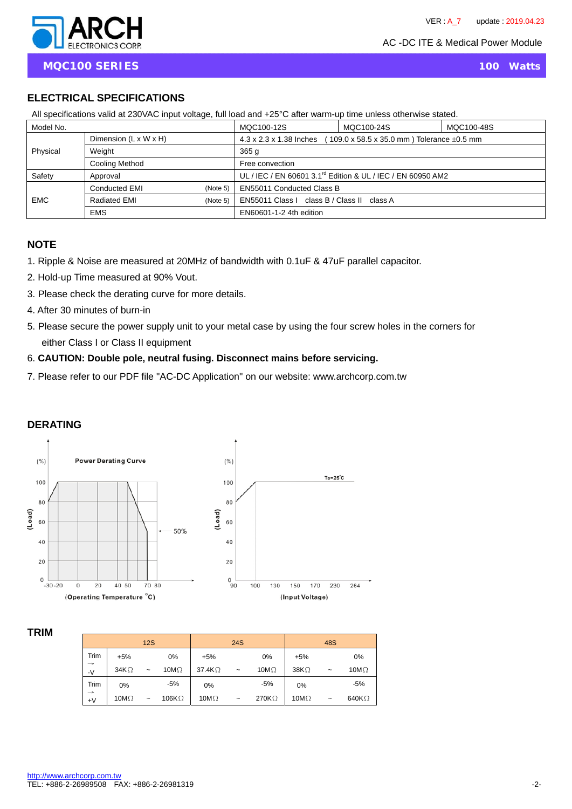

**MQC100 SERIES** 100 Watts

# **ELECTRICAL SPECIFICATIONS**

| All specifications valid at 230 VAC input voltage, full load and +25 °C after warm-up time unless otherwise stated. |                          |                                                                                                        |                                                                         |            |  |  |  |
|---------------------------------------------------------------------------------------------------------------------|--------------------------|--------------------------------------------------------------------------------------------------------|-------------------------------------------------------------------------|------------|--|--|--|
| Model No.                                                                                                           |                          |                                                                                                        | MQC100-12S                                                              | MQC100-48S |  |  |  |
| Dimension $(L \times W \times H)$                                                                                   |                          | 4.3 x 2.3 x 1.38 Inches<br>$109.0 \times 58.5 \times 35.0 \text{ mm}$ ) Tolerance $\pm 0.5 \text{ mm}$ |                                                                         |            |  |  |  |
| Physical                                                                                                            | Weight                   |                                                                                                        | 365 <sub>g</sub>                                                        |            |  |  |  |
|                                                                                                                     | Cooling Method           |                                                                                                        | Free convection                                                         |            |  |  |  |
| Safety                                                                                                              | Approval                 |                                                                                                        | UL / IEC / EN 60601 3.1 <sup>rd</sup> Edition & UL / IEC / EN 60950 AM2 |            |  |  |  |
| <b>Conducted EMI</b><br>(Note 5)                                                                                    |                          | EN55011 Conducted Class B                                                                              |                                                                         |            |  |  |  |
| <b>EMC</b>                                                                                                          | Radiated EMI<br>(Note 5) |                                                                                                        | EN55011 Class I class B / Class II class A                              |            |  |  |  |
|                                                                                                                     | <b>EMS</b>               |                                                                                                        | EN60601-1-2 4th edition                                                 |            |  |  |  |

All specifications valid at 230VAC input voltage, full load and +25°C after warm-up time unless otherwise stated.

#### **NOTE**

- 1. Ripple & Noise are measured at 20MHz of bandwidth with 0.1uF & 47uF parallel capacitor.
- 2. Hold-up Time measured at 90% Vout.
- 3. Please check the derating curve for more details.
- 4. After 30 minutes of burn-in
- 5. Please secure the power supply unit to your metal case by using the four screw holes in the corners for either Class I or Class II equipment
- 6. **CAUTION: Double pole, neutral fusing. Disconnect mains before servicing.**
- 7. Please refer to our PDF file "AC-DC Application" on our website: www.archcorp.com.tw

# **DERATING**



#### **TRIM**

|                       |              | 12S        |               |                | <b>24S</b> |               |              | 48S                   |               |
|-----------------------|--------------|------------|---------------|----------------|------------|---------------|--------------|-----------------------|---------------|
| Trim                  | $+5%$        |            | 0%            | $+5%$          |            | 0%            | $+5%$        |                       | 0%            |
| $\rightarrow$<br>$-V$ | 34K $\Omega$ | $\tilde{}$ | 10M $\Omega$  | 37.4K $\Omega$ | $\tilde{}$ | 10M $\Omega$  | 38K $\Omega$ | $\tilde{\phantom{a}}$ | 10M $\Omega$  |
| Trim                  | 0%           |            | $-5%$         | 0%             |            | $-5%$         | 0%           |                       | $-5%$         |
| $\rightarrow$<br>$+V$ | 10M $\Omega$ | $\tilde{}$ | 106K $\Omega$ | 10M $\Omega$   | $\tilde{}$ | 270K $\Omega$ | 10M $\Omega$ | $\tilde{}$            | 640K $\Omega$ |